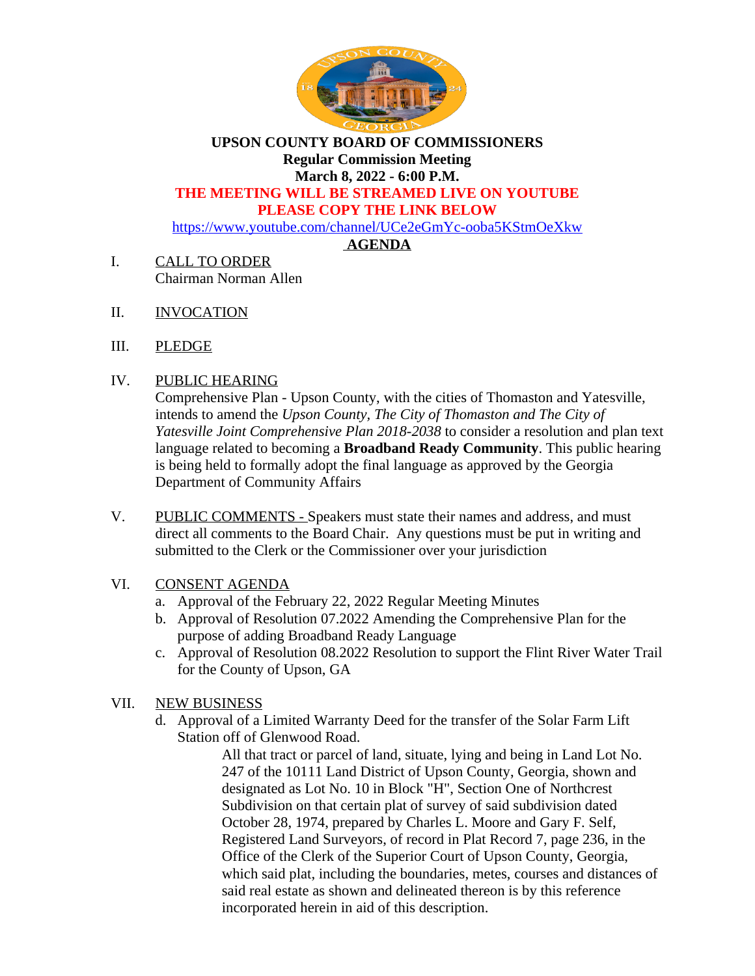

**UPSON COUNTY BOARD OF COMMISSIONERS Regular Commission Meeting March 8, 2022 - 6:00 P.M.**

# **THE MEETING WILL BE STREAMED LIVE ON YOUTUBE**

**PLEASE COPY THE LINK BELOW**

<https://www.youtube.com/channel/UCe2eGmYc-ooba5KStmOeXkw>

# **AGENDA**

- I. CALL TO ORDER Chairman Norman Allen
- II. INVOCATION
- III. PLEDGE

### IV. PUBLIC HEARING

Comprehensive Plan - Upson County, with the cities of Thomaston and Yatesville, intends to amend the *Upson County, The City of Thomaston and The City of Yatesville Joint Comprehensive Plan 2018-2038* to consider a resolution and plan text language related to becoming a **Broadband Ready Community**. This public hearing is being held to formally adopt the final language as approved by the Georgia Department of Community Affairs

- V. PUBLIC COMMENTS Speakers must state their names and address, and must direct all comments to the Board Chair. Any questions must be put in writing and submitted to the Clerk or the Commissioner over your jurisdiction
- VI. CONSENT AGENDA
	- a. Approval of the February 22, 2022 Regular Meeting Minutes
	- b. Approval of Resolution 07.2022 Amending the Comprehensive Plan for the purpose of adding Broadband Ready Language
	- c. Approval of Resolution 08.2022 Resolution to support the Flint River Water Trail for the County of Upson, GA

# VII. NEW BUSINESS

d. Approval of a Limited Warranty Deed for the transfer of the Solar Farm Lift Station off of Glenwood Road.

> All that tract or parcel of land, situate, lying and being in Land Lot No. 247 of the 10111 Land District of Upson County, Georgia, shown and designated as Lot No. 10 in Block "H", Section One of Northcrest Subdivision on that certain plat of survey of said subdivision dated October 28, 1974, prepared by Charles L. Moore and Gary F. Self, Registered Land Surveyors, of record in Plat Record 7, page 236, in the Office of the Clerk of the Superior Court of Upson County, Georgia, which said plat, including the boundaries, metes, courses and distances of said real estate as shown and delineated thereon is by this reference incorporated herein in aid of this description.